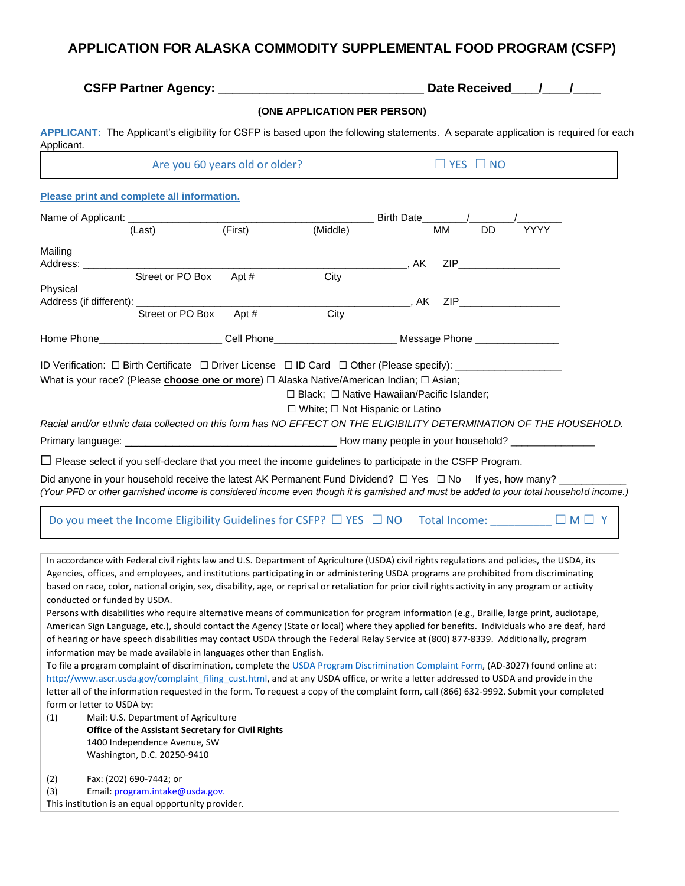## **APPLICATION FOR ALASKA COMMODITY SUPPLEMENTAL FOOD PROGRAM (CSFP)**

|                                                                                                                                                                                                                                                                                                                                                                                                                                                                           |                  |                     |                                                                                                       | Date Received / / |           |           |                                               |  |  |  |
|---------------------------------------------------------------------------------------------------------------------------------------------------------------------------------------------------------------------------------------------------------------------------------------------------------------------------------------------------------------------------------------------------------------------------------------------------------------------------|------------------|---------------------|-------------------------------------------------------------------------------------------------------|-------------------|-----------|-----------|-----------------------------------------------|--|--|--|
|                                                                                                                                                                                                                                                                                                                                                                                                                                                                           |                  |                     | (ONE APPLICATION PER PERSON)                                                                          |                   |           |           |                                               |  |  |  |
| APPLICANT: The Applicant's eligibility for CSFP is based upon the following statements. A separate application is required for each<br>Applicant.                                                                                                                                                                                                                                                                                                                         |                  |                     |                                                                                                       |                   |           |           |                                               |  |  |  |
| Are you 60 years old or older?                                                                                                                                                                                                                                                                                                                                                                                                                                            |                  |                     | $\Box$ YES $\Box$ NO                                                                                  |                   |           |           |                                               |  |  |  |
| Please print and complete all information.                                                                                                                                                                                                                                                                                                                                                                                                                                |                  |                     |                                                                                                       |                   |           |           |                                               |  |  |  |
| Name of Applicant: ____________                                                                                                                                                                                                                                                                                                                                                                                                                                           |                  |                     |                                                                                                       | Birth Date        |           |           |                                               |  |  |  |
| (Last)                                                                                                                                                                                                                                                                                                                                                                                                                                                                    |                  | (First)             | (Middle)                                                                                              |                   | <b>MM</b> | <b>DD</b> | <b>YYYY</b>                                   |  |  |  |
| Mailing<br>Address: _                                                                                                                                                                                                                                                                                                                                                                                                                                                     |                  |                     |                                                                                                       | . AK              |           |           | $ZIP$ and $ZIP$ and $ZIP$ and $ZIP$ and $ZIP$ |  |  |  |
| Physical<br>Address (if different): ___________                                                                                                                                                                                                                                                                                                                                                                                                                           | Street or PO Box | Apt#                | City                                                                                                  | AK ZIP            |           |           |                                               |  |  |  |
| Home Phone <b>Example 20</b>                                                                                                                                                                                                                                                                                                                                                                                                                                              | Street or PO Box | Apt #<br>Cell Phone | City<br>Message Phone _______________                                                                 |                   |           |           |                                               |  |  |  |
| ID Verification: □ Birth Certificate □ Driver License □ ID Card □ Other (Please specify): __________<br>What is your race? (Please <i>choose one or more</i> ) □ Alaska Native/American Indian; □ Asian;                                                                                                                                                                                                                                                                  |                  |                     | $\Box$ Black; $\Box$ Native Hawaiian/Pacific Islander;<br>$\Box$ White; $\Box$ Not Hispanic or Latino |                   |           |           |                                               |  |  |  |
| Racial and/or ethnic data collected on this form has NO EFFECT ON THE ELIGIBILITY DETERMINATION OF THE HOUSEHOLD.                                                                                                                                                                                                                                                                                                                                                         |                  |                     |                                                                                                       |                   |           |           |                                               |  |  |  |
|                                                                                                                                                                                                                                                                                                                                                                                                                                                                           |                  |                     |                                                                                                       |                   |           |           |                                               |  |  |  |
| $\Box$ Please select if you self-declare that you meet the income guidelines to participate in the CSFP Program.                                                                                                                                                                                                                                                                                                                                                          |                  |                     |                                                                                                       |                   |           |           |                                               |  |  |  |
| Did anyone in your household receive the latest AK Permanent Fund Dividend? $\Box$ Yes $\Box$ No If yes, how many?<br>(Your PFD or other garnished income is considered income even though it is garnished and must be added to your total household income.)                                                                                                                                                                                                             |                  |                     |                                                                                                       |                   |           |           |                                               |  |  |  |
| Do you meet the Income Eligibility Guidelines for CSFP? $\Box$ YES $\Box$ NO Total Income: $\Box$ M $\Box$ Y                                                                                                                                                                                                                                                                                                                                                              |                  |                     |                                                                                                       |                   |           |           |                                               |  |  |  |
| In accordance with Federal civil rights law and U.S. Department of Agriculture (USDA) civil rights regulations and policies, the USDA, its<br>Agencies, offices, and employees, and institutions participating in or administering USDA programs are prohibited from discriminating<br>based on race, color, national origin, sex, disability, age, or reprisal or retaliation for prior civil rights activity in any program or activity<br>conducted or funded by USDA. |                  |                     |                                                                                                       |                   |           |           |                                               |  |  |  |

Persons with disabilities who require alternative means of communication for program information (e.g., Braille, large print, audiotape, American Sign Language, etc.), should contact the Agency (State or local) where they applied for benefits. Individuals who are deaf, hard of hearing or have speech disabilities may contact USDA through the Federal Relay Service at (800) 877-8339. Additionally, program information may be made available in languages other than English.

To file a program complaint of discrimination, complete th[e USDA Program Discrimination Complaint Form,](http://www.ocio.usda.gov/sites/default/files/docs/2012/Complain_combined_6_8_12.pdf) (AD-3027) found online at: [http://www.ascr.usda.gov/complaint\\_filing\\_cust.html,](http://www.ascr.usda.gov/complaint_filing_cust.html) and at any USDA office, or write a letter addressed to USDA and provide in the letter all of the information requested in the form. To request a copy of the complaint form, call (866) 632-9992. Submit your completed form or letter to USDA by:

(1) Mail: U.S. Department of Agriculture **Office of the Assistant Secretary for Civil Rights**  1400 Independence Avenue, SW Washington, D.C. 20250-9410

(2) Fax: (202) 690-7442; or

| (3) |  |  |  | Email: program.intake@usda.gov. |
|-----|--|--|--|---------------------------------|
|-----|--|--|--|---------------------------------|

This institution is an equal opportunity provider.